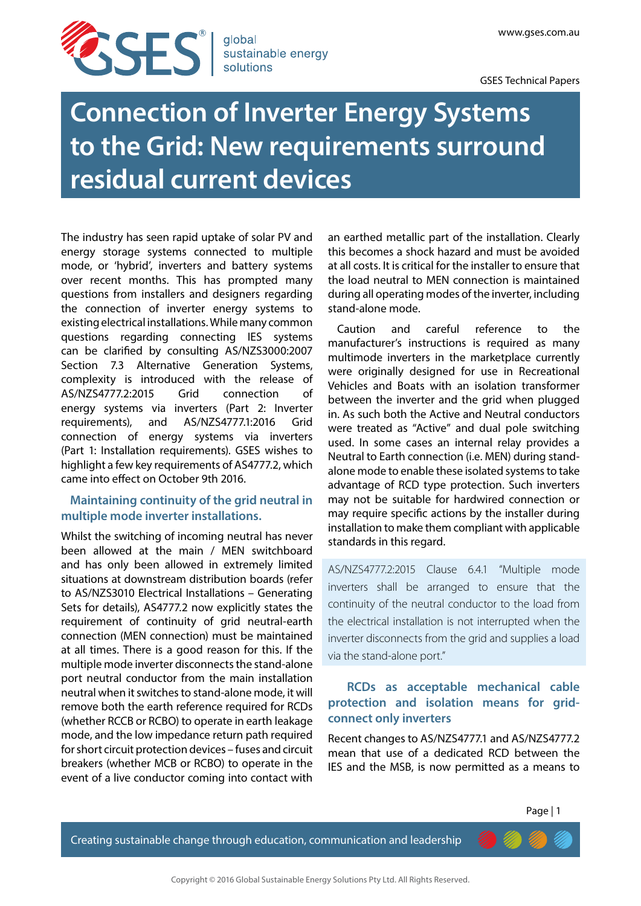

**Connection of Inverter Energy Systems to the Grid: New requirements surround residual current devices**

The industry has seen rapid uptake of solar PV and energy storage systems connected to multiple mode, or 'hybrid', inverters and battery systems over recent months. This has prompted many questions from installers and designers regarding the connection of inverter energy systems to existing electrical installations. While many common questions regarding connecting IES systems can be clarified by consulting AS/NZS3000:2007 Section 7.3 Alternative Generation Systems, complexity is introduced with the release of AS/NZS4777.2:2015 Grid connection of energy systems via inverters (Part 2: Inverter requirements), and AS/NZS4777.1:2016 Grid connection of energy systems via inverters (Part 1: Installation requirements). GSES wishes to highlight a few key requirements of AS4777.2, which came into effect on October 9th 2016.

## **Maintaining continuity of the grid neutral in multiple mode inverter installations.**

Whilst the switching of incoming neutral has never been allowed at the main / MEN switchboard and has only been allowed in extremely limited situations at downstream distribution boards (refer to AS/NZS3010 Electrical Installations – Generating Sets for details), AS4777.2 now explicitly states the requirement of continuity of grid neutral-earth connection (MEN connection) must be maintained at all times. There is a good reason for this. If the multiple mode inverter disconnects the stand-alone port neutral conductor from the main installation neutral when it switches to stand-alone mode, it will remove both the earth reference required for RCDs (whether RCCB or RCBO) to operate in earth leakage mode, and the low impedance return path required for short circuit protection devices – fuses and circuit breakers (whether MCB or RCBO) to operate in the event of a live conductor coming into contact with

an earthed metallic part of the installation. Clearly this becomes a shock hazard and must be avoided at all costs. It is critical for the installer to ensure that the load neutral to MEN connection is maintained during all operating modes of the inverter, including stand-alone mode.

Caution and careful reference to the manufacturer's instructions is required as many multimode inverters in the marketplace currently were originally designed for use in Recreational Vehicles and Boats with an isolation transformer between the inverter and the grid when plugged in. As such both the Active and Neutral conductors were treated as "Active" and dual pole switching used. In some cases an internal relay provides a Neutral to Earth connection (i.e. MEN) during standalone mode to enable these isolated systems to take advantage of RCD type protection. Such inverters may not be suitable for hardwired connection or may require specific actions by the installer during installation to make them compliant with applicable standards in this regard.

AS/NZS4777.2:2015 Clause 6.4.1 "Multiple mode inverters shall be arranged to ensure that the continuity of the neutral conductor to the load from the electrical installation is not interrupted when the inverter disconnects from the grid and supplies a load via the stand-alone port."

## **RCDs as acceptable mechanical cable protection and isolation means for gridconnect only inverters**

Recent changes to AS/NZS4777.1 and AS/NZS4777.2 mean that use of a dedicated RCD between the IES and the MSB, is now permitted as a means to

Creating sustainable change through education, communication and leadership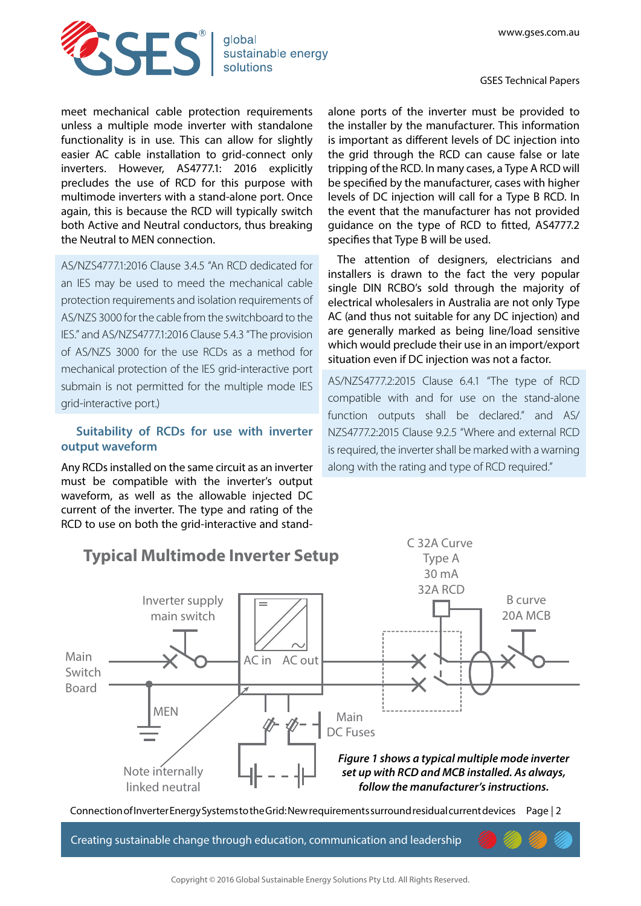GSES Technical Papers



meet mechanical cable protection requirements unless a multiple mode inverter with standalone functionality is in use. This can allow for slightly easier AC cable installation to grid-connect only inverters. However, AS4777.1: 2016 explicitly precludes the use of RCD for this purpose with multimode inverters with a stand-alone port. Once again, this is because the RCD will typically switch both Active and Neutral conductors, thus breaking the Neutral to MEN connection.

AS/NZS4777.1:2016 Clause 3.4.5 "An RCD dedicated for an IES may be used to meed the mechanical cable protection requirements and isolation requirements of AS/NZS 3000 for the cable from the switchboard to the IES." and AS/NZS4777.1:2016 Clause 5.4.3 "The provision of AS/NZS 3000 for the use RCDs as a method for mechanical protection of the IES grid-interactive port submain is not permitted for the multiple mode IES grid-interactive port.)

## **Suitability of RCDs for use with inverter output waveform**

Any RCDs installed on the same circuit as an inverter must be compatible with the inverter's output waveform, as well as the allowable injected DC current of the inverter. The type and rating of the RCD to use on both the grid-interactive and stand-

alone ports of the inverter must be provided to the installer by the manufacturer. This information is important as different levels of DC injection into the grid through the RCD can cause false or late tripping of the RCD. In many cases, a Type A RCD will be specified by the manufacturer, cases with higher levels of DC injection will call for a Type B RCD. In the event that the manufacturer has not provided guidance on the type of RCD to fitted, AS4777.2 specifies that Type B will be used.

The attention of designers, electricians and installers is drawn to the fact the very popular single DIN RCBO's sold through the majority of electrical wholesalers in Australia are not only Type AC (and thus not suitable for any DC injection) and are generally marked as being line/load sensitive which would preclude their use in an import/export situation even if DC injection was not a factor.

AS/NZS4777.2:2015 Clause 6.4.1 "The type of RCD compatible with and for use on the stand-alone function outputs shall be declared." and AS/ NZS4777.2:2015 Clause 9.2.5 "Where and external RCD is required, the inverter shall be marked with a warning along with the rating and type of RCD required."



Connection of Inverter Energy Systems to the Grid: New requirements surround residual current devices Page | 2

Creating sustainable change through education, communication and leadership